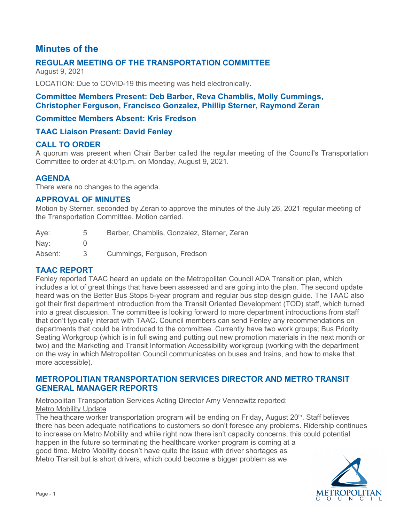# **Minutes of the**

## **REGULAR MEETING OF THE TRANSPORTATION COMMITTEE**

August 9, 2021

LOCATION: Due to COVID-19 this meeting was held electronically.

### **Committee Members Present: Deb Barber, Reva Chamblis, Molly Cummings, Christopher Ferguson, Francisco Gonzalez, Phillip Sterner, Raymond Zeran**

### **Committee Members Absent: Kris Fredson**

### **TAAC Liaison Present: David Fenley**

### **CALL TO ORDER**

A quorum was present when Chair Barber called the regular meeting of the Council's Transportation Committee to order at 4:01p.m. on Monday, August 9, 2021.

### **AGENDA**

There were no changes to the agenda.

### **APPROVAL OF MINUTES**

Motion by Sterner, seconded by Zeran to approve the minutes of the July 26, 2021 regular meeting of the Transportation Committee. Motion carried.

| Aye:          | 5 | Barber, Chamblis, Gonzalez, Sterner, Zeran |
|---------------|---|--------------------------------------------|
| $\text{Nay:}$ |   |                                            |
| Absent:       |   | Cummings, Ferguson, Fredson                |

### **TAAC REPORT**

Fenley reported TAAC heard an update on the Metropolitan Council ADA Transition plan, which includes a lot of great things that have been assessed and are going into the plan. The second update heard was on the Better Bus Stops 5-year program and regular bus stop design guide. The TAAC also got their first department introduction from the Transit Oriented Development (TOD) staff, which turned into a great discussion. The committee is looking forward to more department introductions from staff that don't typically interact with TAAC. Council members can send Fenley any recommendations on departments that could be introduced to the committee. Currently have two work groups; Bus Priority Seating Workgroup (which is in full swing and putting out new promotion materials in the next month or two) and the Marketing and Transit Information Accessibility workgroup (working with the department on the way in which Metropolitan Council communicates on buses and trains, and how to make that more accessible).

### **METROPOLITIAN TRANSPORTATION SERVICES DIRECTOR AND METRO TRANSIT GENERAL MANAGER REPORTS**

Metropolitan Transportation Services Acting Director Amy Vennewitz reported: Metro Mobility Update

The healthcare worker transportation program will be ending on Friday, August  $20<sup>th</sup>$ . Staff believes there has been adequate notifications to customers so don't foresee any problems. Ridership continues to increase on Metro Mobility and while right now there isn't capacity concerns, this could potential happen in the future so terminating the healthcare worker program is coming at a good time. Metro Mobility doesn't have quite the issue with driver shortages as Metro Transit but is short drivers, which could become a bigger problem as we

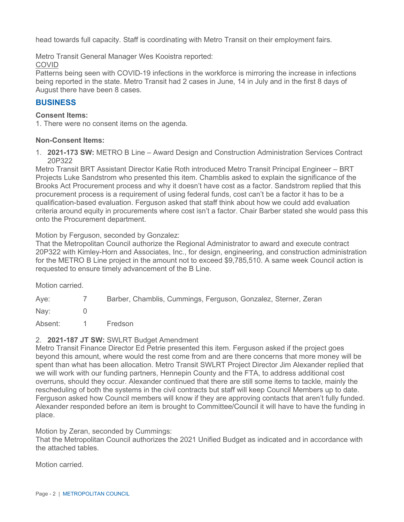head towards full capacity. Staff is coordinating with Metro Transit on their employment fairs.

Metro Transit General Manager Wes Kooistra reported:

#### COVID

Patterns being seen with COVID-19 infections in the workforce is mirroring the increase in infections being reported in the state. Metro Transit had 2 cases in June, 14 in July and in the first 8 days of August there have been 8 cases.

### **BUSINESS**

#### **Consent Items:**

1. There were no consent items on the agenda.

### **Non-Consent Items:**

1. **2021-173 SW:** METRO B Line – Award Design and Construction Administration Services Contract 20P322

Metro Transit BRT Assistant Director Katie Roth introduced Metro Transit Principal Engineer – BRT Projects Luke Sandstrom who presented this item. Chamblis asked to explain the significance of the Brooks Act Procurement process and why it doesn't have cost as a factor. Sandstrom replied that this procurement process is a requirement of using federal funds, cost can't be a factor it has to be a qualification-based evaluation. Ferguson asked that staff think about how we could add evaluation criteria around equity in procurements where cost isn't a factor. Chair Barber stated she would pass this onto the Procurement department.

#### Motion by Ferguson, seconded by Gonzalez:

That the Metropolitan Council authorize the Regional Administrator to award and execute contract 20P322 with Kimley-Horn and Associates, Inc., for design, engineering, and construction administration for the METRO B Line project in the amount not to exceed \$9,785,510. A same week Council action is requested to ensure timely advancement of the B Line.

Motion carried.

| Aye:    | $\sqrt{2}$ | Barber, Chamblis, Cummings, Ferguson, Gonzalez, Sterner, Zeran |
|---------|------------|----------------------------------------------------------------|
| Nav:    |            |                                                                |
| Absent: |            | Fredson                                                        |

#### 2. **2021-187 JT SW:** SWLRT Budget Amendment

Metro Transit Finance Director Ed Petrie presented this item. Ferguson asked if the project goes beyond this amount, where would the rest come from and are there concerns that more money will be spent than what has been allocation. Metro Transit SWLRT Project Director Jim Alexander replied that we will work with our funding partners, Hennepin County and the FTA, to address additional cost overruns, should they occur. Alexander continued that there are still some items to tackle, mainly the rescheduling of both the systems in the civil contracts but staff will keep Council Members up to date. Ferguson asked how Council members will know if they are approving contacts that aren't fully funded. Alexander responded before an item is brought to Committee/Council it will have to have the funding in place.

Motion by Zeran, seconded by Cummings:

That the Metropolitan Council authorizes the 2021 Unified Budget as indicated and in accordance with the attached tables.

Motion carried.